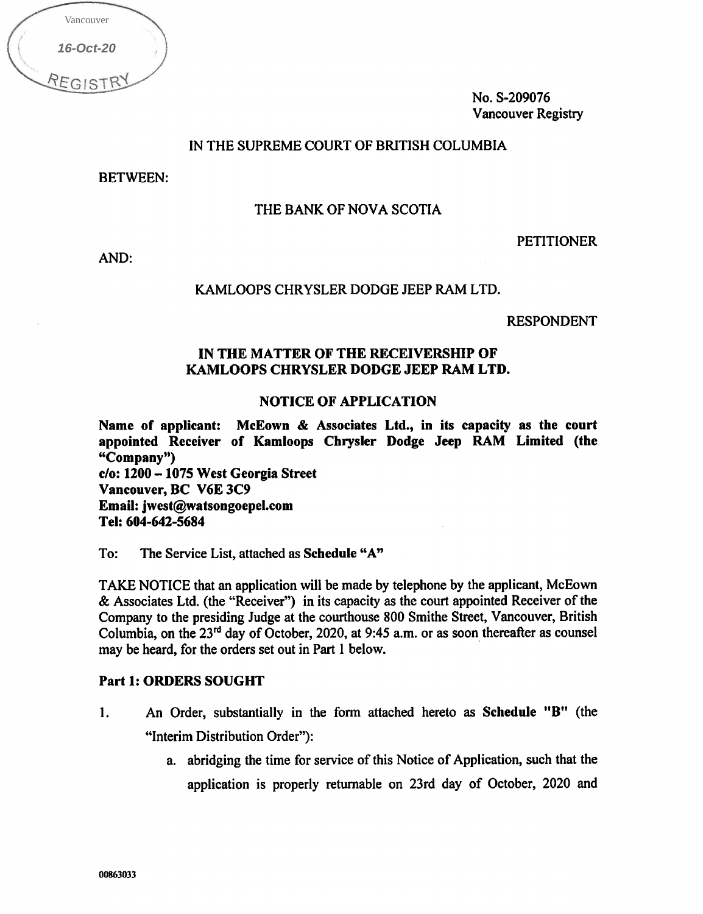| Vancouver |  |
|-----------|--|
| 16-Oct-20 |  |
| REGIST    |  |

No. S-209076 Vancouver Registry

# IN THE SUPREME COURT OF BRITISH COLUMBIA

BETWEEN:

# THE BANK OF NOVA SCOTIA

PETITIONER

AND:

#### KAMLOOPS CHRYSLER DODGE JEEP RAM LTD.

RESPONDENT

# IN THE MATTER OF THE RECEIVERSHIP OF KAMLOOPS CHRYSLER DODGE JEEP RAM LTD.

#### NOTICE OF APPLICATION

Name of applicant: McEown & Associates Ltd., in its capacity as the court appointed Receiver of Kamloops Chrysler Dodge Jeep RAM Limited (the "Company") c/o: 1200 - 1075 West Georgia Street Vancouver, BC V6E 3C9 Email: iwest@watsongoepel.com Tel: 604-642-5684 16-Oct-20<br>
EGISTRY<br> **BETW**<br> **AND:**<br> **AND:**<br> **COMP**<br> **COMP**<br> **COMPE CONTERNATE:**<br> **COMPA**<br> **COMPA**<br> **COMPA**<br> **COMPA**<br> **COMPA**<br> **COMPA**<br> **COMPA**<br> **COMPA**<br> **COMPA**<br> **COMPA**<br> **COMPA**<br> **COMPA**<br> **COMPA**<br> **COMPA**<br> **COMPA**<br> **COMPA** 

To: The Service List, attached as Schedule "A"

TAKE NOTICE that an application will be made by telephone by the applicant, McEown & Associates Ltd. (the "Receiver") in its capacity as the court appointed Receiver of the Company to the presiding Judge at the courthouse 800 Smithe Street, Vancouver, British Columbia, on the  $23<sup>rd</sup>$  day of October, 2020, at 9:45 a.m. or as soon thereafter as counsel may be heard, for the orders set out in Part 1 below.

#### Part 1: ORDERS SOUGHT

- 1. An Order, substantially in the form attached hereto as Schedule "B" (the "Interim Distribution Order"):
	- a. abridging the time for service of this Notice of Application, such that the application is properly returnable on 23rd day of October, 2020 and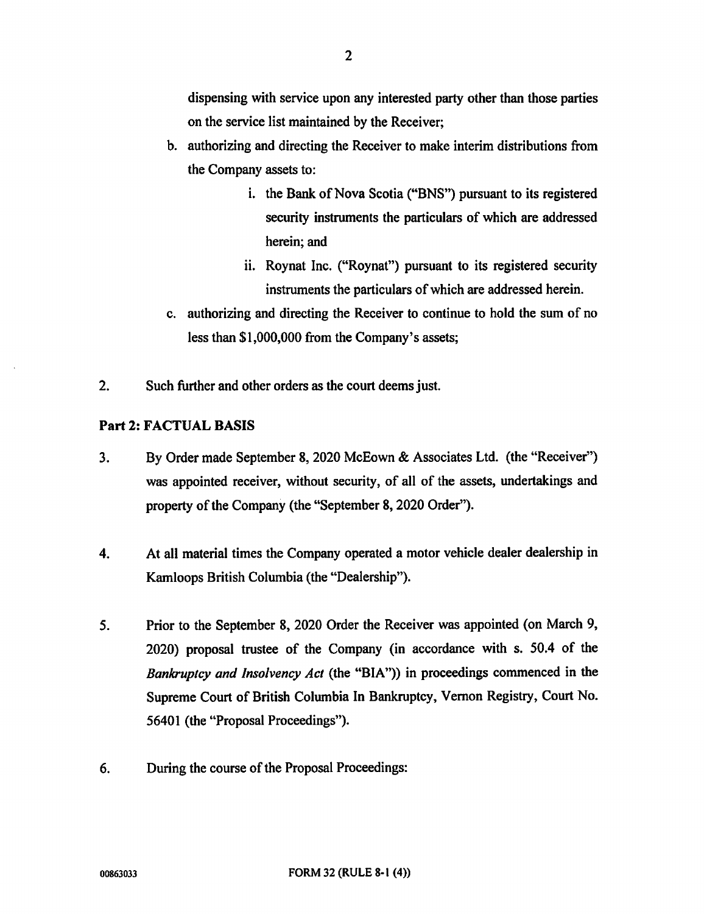dispensing with service upon any interested party other than those parties on the service list maintained by the Receiver;

- b. authorizing and directing the Receiver to make interim distributions from the Company assets to:
	- i. the Bank of Nova Scotia ("BNS") pursuant to its registered security instruments the particulars of which are addressed herein; and
	- ii. Roynat Inc. ("Roynat") pursuant to its registered security instruments the particulars of which are addressed herein.
- c. authorizing and directing the Receiver to continue to hold the sum of no less than \$1,000,000 from the Company's assets;
- 2. Such further and other orders as the court deems just.

# Part 2: FACTUAL BASIS

- 3. By Order made September 8, 2020 McEown & Associates Ltd. (the "Receiver") was appointed receiver, without security, of all of the assets, undertakings and property of the Company (the "September 8, 2020 Order").
- 4. At all material times the Company operated a motor vehicle dealer dealership in Kamloops British Columbia (the "Dealership").
- 5. Prior to the September 8, 2020 Order the Receiver was appointed (on March 9, 2020) proposal trustee of the Company (in accordance with s. 50.4 of the Bankruptcy and Insolvency Act (the "BIA")) in proceedings commenced in the Supreme Court of British Columbia In Bankruptcy, Vernon Registry, Court No. 56401 (the "Proposal Proceedings").
- 6. During the course of the Proposal Proceedings: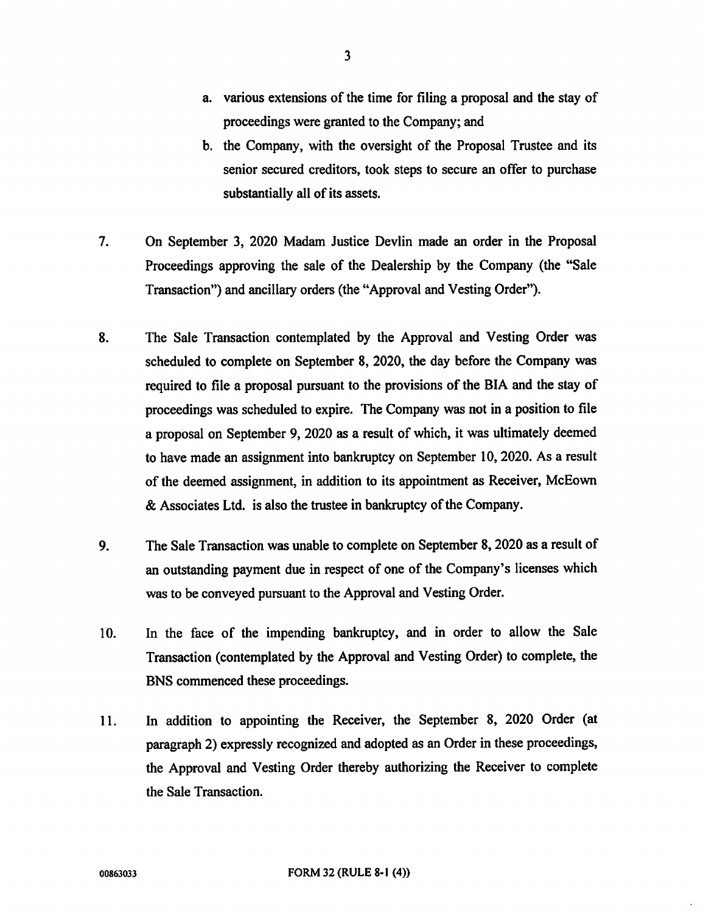- a. various extensions of the time for filing a proposal and the stay of proceedings were granted to the Company; and
- b. the Company, with the oversight of the Proposal Trustee and its senior secured creditors, took steps to secure an offer to purchase substantially all of its assets.
- 7. On September 3, 2020 Madam Justice Devlin made an order in the Proposal Proceedings approving the sale of the Dealership by the Company (the "Sale Transaction") and ancillary orders (the "Approval and Vesting Order").
- 8. The Sale Transaction contemplated by the Approval and Vesting Order was scheduled to complete on September 8, 2020, the day before the Company was required to file a proposal pursuant to the provisions of the BIA and the stay of proceedings was scheduled to expire. The Company was not in a position to file a proposal on September 9, 2020 as a result of which, it was ultimately deemed to have made an assignment into bankruptcy on September 10, 2020. As a result of the deemed assignment, in addition to its appointment as Receiver, McEown & Associates Ltd. is also the trustee in bankruptcy of the Company.
- 9. The Sale Transaction was unable to complete on September 8, 2020 as a result of an outstanding payment due in respect of one of the Company's licenses which was to be conveyed pursuant to the Approval and Vesting Order.
- 10. In the face of the impending bankruptcy, and in order to allow the Sale Transaction (contemplated by the Approval and Vesting Order) to complete, the BNS commenced these proceedings.
- 11. In addition to appointing the Receiver, the September 8, 2020 Order (at paragraph 2) expressly recognized and adopted as an Order in these proceedings, the Approval and Vesting Order thereby authorizing the Receiver to complete the Sale Transaction.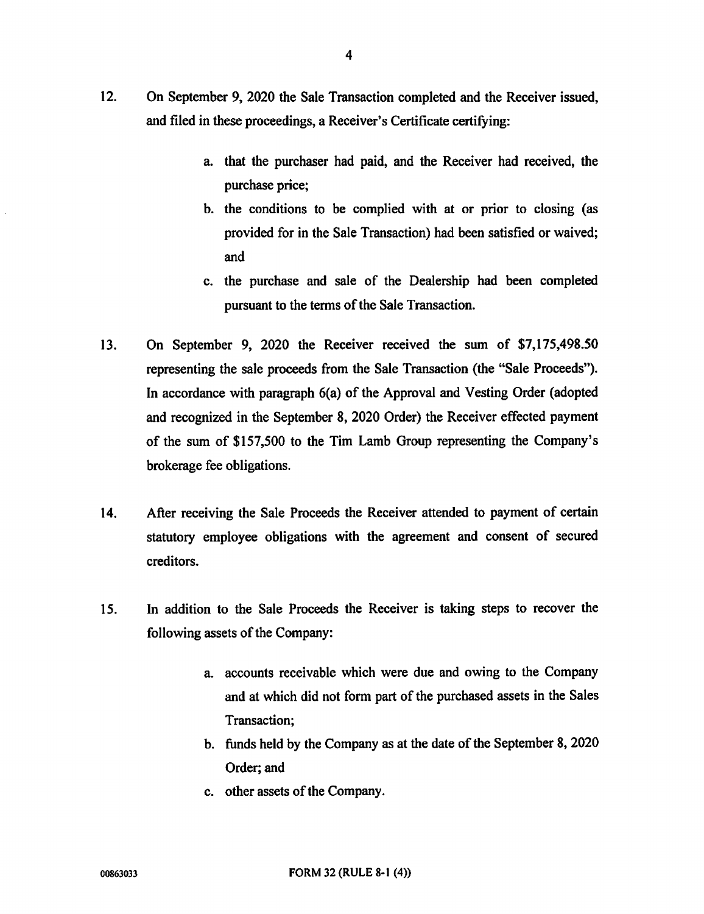- 12. On September 9, 2020 the Sale Transaction completed and the Receiver issued, and filed in these proceedings, a Receiver's Certificate certifying:
	- a. that the purchaser had paid, and the Receiver had received, the purchase price;
	- b. the conditions to be complied with at or prior to closing (as provided for in the Sale Transaction) had been satisfied or waived; and
	- c. the purchase and sale of the Dealership had been completed pursuant to the terms of the Sale Transaction.
- 13. On September 9, 2020 the Receiver received the sum of \$7,175,498.50 representing the sale proceeds from the Sale Transaction (the "Sale Proceeds"). In accordance with paragraph 6(a) of the Approval and Vesting Order (adopted and recognized in the September 8, 2020 Order) the Receiver effected payment of the sum of \$157,500 to the Tim Lamb Group representing the Company's brokerage fee obligations.
- 14. After receiving the Sale Proceeds the Receiver attended to payment of certain statutory employee obligations with the agreement and consent of secured creditors.
- 15. In addition to the Sale Proceeds the Receiver is taking steps to recover the following assets of the Company:
	- a. accounts receivable which were due and owing to the Company and at which did not form part of the purchased assets in the Sales Transaction;
	- b. funds held by the Company as at the date of the September 8, 2020 Order; and
	- c. other assets of the Company.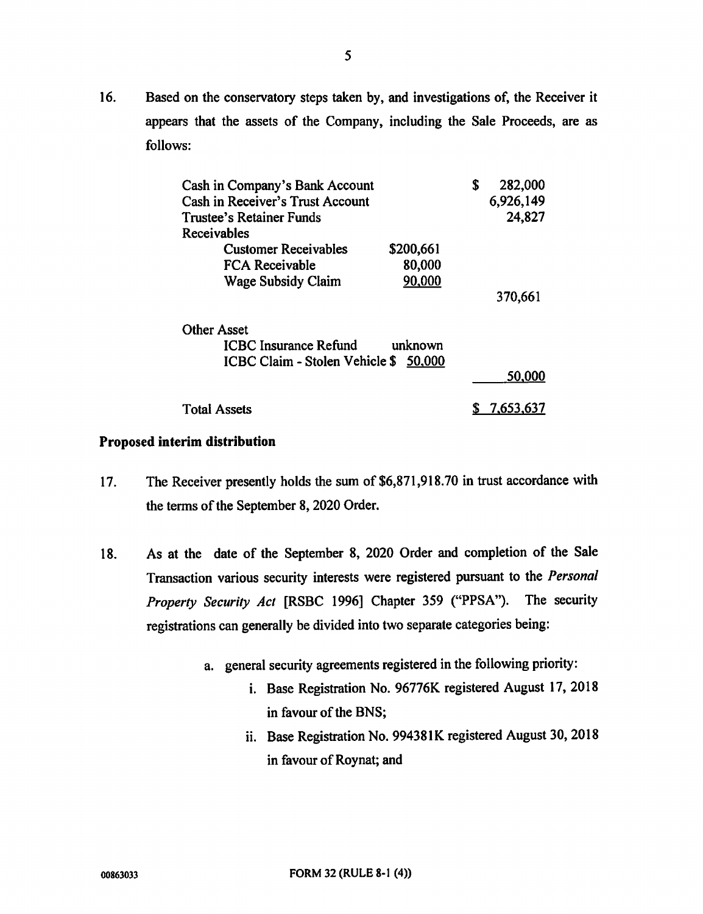16. Based on the conservatory steps taken by, and investigations of, the Receiver it appears that the assets of the Company, including the Sale Proceeds, are as follows:

| Cash in Company's Bank Account                  | S         | 282,000   |           |  |
|-------------------------------------------------|-----------|-----------|-----------|--|
| Cash in Receiver's Trust Account                |           | 6,926,149 |           |  |
| Trustee's Retainer Funds                        |           | 24,827    |           |  |
| <b>Receivables</b>                              |           |           |           |  |
| <b>Customer Receivables</b>                     | \$200,661 |           |           |  |
| FCA Receivable                                  | 80,000    |           |           |  |
| Wage Subsidy Claim                              | 90,000    |           |           |  |
|                                                 |           |           | 370,661   |  |
| <b>Other Asset</b>                              |           |           |           |  |
| <b>ICBC</b> Insurance Refund<br>unknown         |           |           |           |  |
| <b>ICBC Claim - Stolen Vehicle \$</b><br>50.000 |           |           |           |  |
|                                                 |           |           | 50,000    |  |
| <b>Total Assets</b>                             |           |           | 7.653,637 |  |

# Proposed interim distribution

- 17. The Receiver presently holds the sum of \$6,871,918.70 in trust accordance with the terms of the September 8, 2020 Order.
- 18. As at the date of the September 8, 2020 Order and completion of the Sale Transaction various security interests were registered pursuant to the Personal Property Security Act [RSBC 1996] Chapter 359 ("PPSA"). The security registrations can generally be divided into two separate categories being:
	- a. general security agreements registered in the following priority:
		- i. Base Registration No. 96776K registered August 17, 2018 in favour of the BNS;
		- ii. Base Registration No. 994381K registered August 30, 2018 in favour of Roynat; and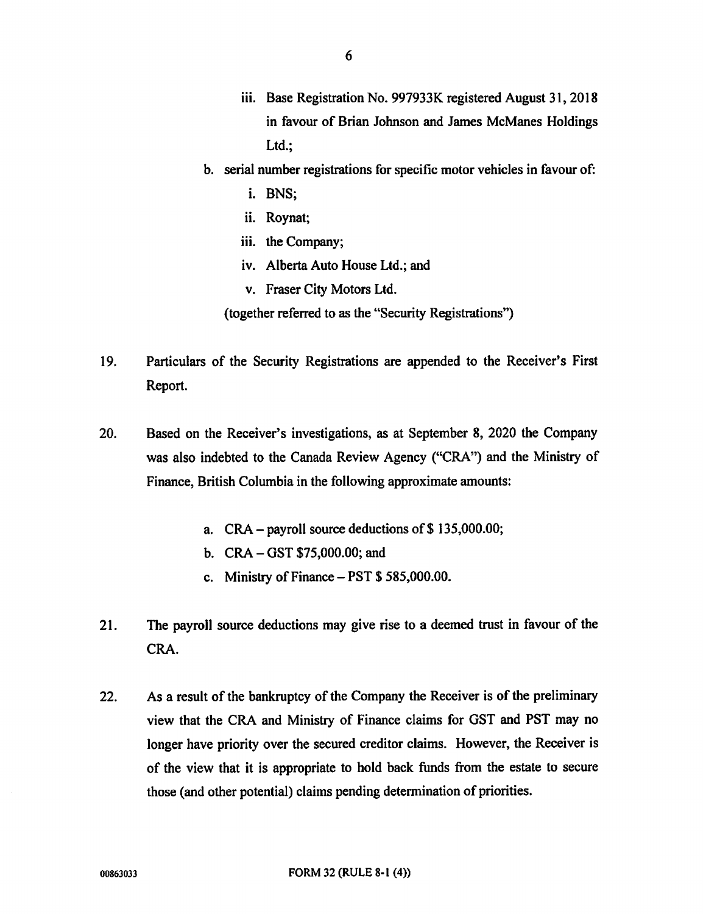- iii. Base Registration No. 997933K registered August 31, 2018 in favour of Brian Johnson and James McManes Holdings Ltd.;
- b. serial number registrations for specific motor vehicles in favour of:
	- i. BNS;
	- ii. Roynat;
	- iii. the Company;
	- iv. Alberta Auto House Ltd.; and
	- v. Fraser City Motors Ltd.
	- (together referred to as the "Security Registrations")
- 19. Particulars of the Security Registrations are appended to the Receiver's First Report.
- 20. Based on the Receiver's investigations, as at September 8, 2020 the Company was also indebted to the Canada Review Agency ("CRA") and the Ministry of Finance, British Columbia in the following approximate amounts:
	- a. CRA payroll source deductions of \$ 135,000.00;
	- b. CRA GST \$75,000.00; and
	- c. Ministry of Finance PST \$ 585,000.00.
- 21. The payroll source deductions may give rise to a deemed trust in favour of the CRA.
- 22. As a result of the bankruptcy of the Company the Receiver is of the preliminary view that the CRA and Ministry of Finance claims for GST and PST may no longer have priority over the secured creditor claims. However, the Receiver is of the view that it is appropriate to hold back funds from the estate to secure those (and other potential) claims pending determination of priorities.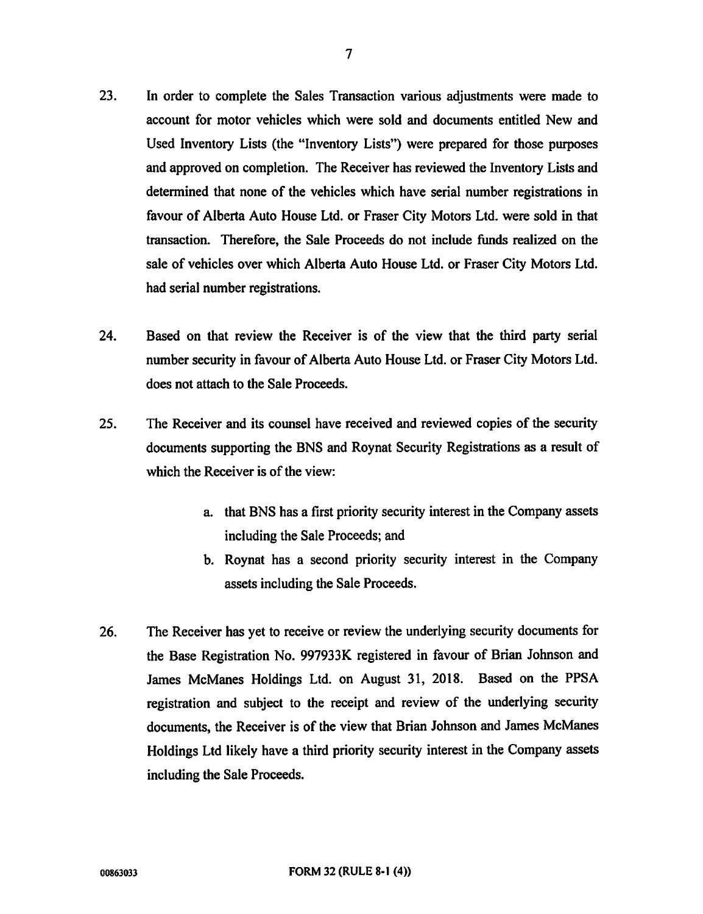- 23. In order to complete the Sales Transaction various adjustments were made to account for motor vehicles which were sold and documents entitled New and Used Inventory Lists (the "Inventory Lists") were prepared for those purposes and approved on completion. The Receiver has reviewed the Inventory Lists and determined that none of the vehicles which have serial number registrations in favour of Alberta Auto House Ltd. or Fraser City Motors Ltd. were sold in that transaction. Therefore, the Sale Proceeds do not include funds realized on the sale of vehicles over which Alberta Auto House Ltd. or Fraser City Motors Ltd. had serial number registrations.
- 24. Based on that review the Receiver is of the view that the third party serial number security in favour of Alberta Auto House Ltd. or Fraser City Motors Ltd. does not attach to the Sale Proceeds.
- 25. The Receiver and its counsel have received and reviewed copies of the security documents supporting the BNS and Roynat Security Registrations as a result of which the Receiver is of the view:
	- a. that BNS has a first priority security interest in the Company assets including the Sale Proceeds; and
	- b. Roynat has a second priority security interest in the Company assets including the Sale Proceeds.
- 26. The Receiver has yet to receive or review the underlying security documents for the Base Registration No. 997933K registered in favour of Brian Johnson and James McManes Holdings Ltd. on August 31, 2018. Based on the PPSA registration and subject to the receipt and review of the underlying security documents, the Receiver is of the view that Brian Johnson and James McManes Holdings Ltd likely have a third priority security interest in the Company assets including the Sale Proceeds.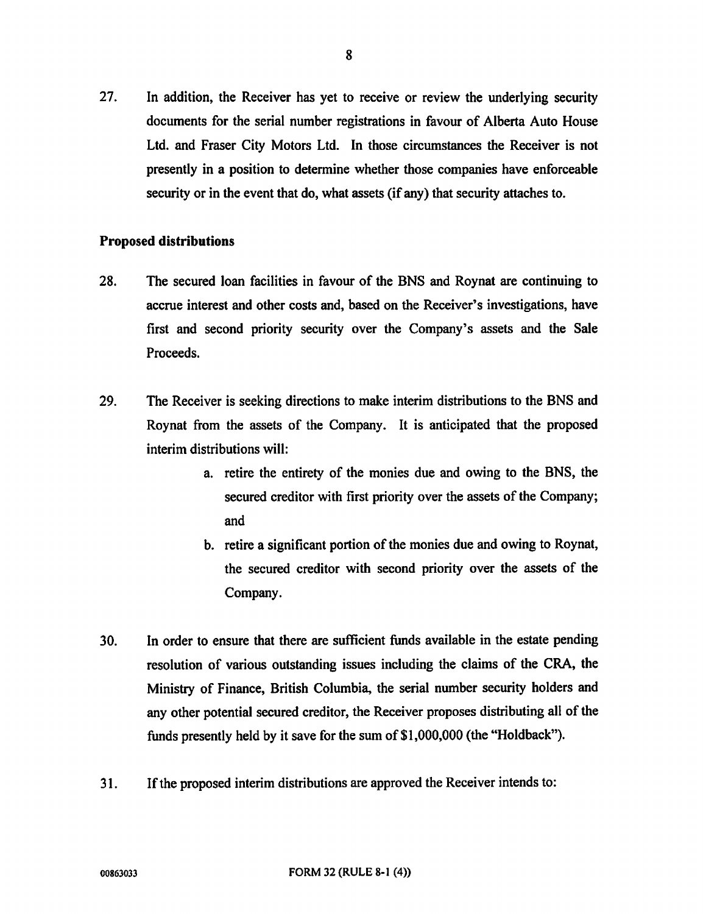27. In addition, the Receiver has yet to receive or review the underlying security documents for the serial number registrations in favour of Alberta Auto House Ltd. and Fraser City Motors Ltd. In those circumstances the Receiver is not presently in a position to determine whether those companies have enforceable security or in the event that do, what assets (if any) that security attaches to.

## Proposed distributions

- 28. The secured loan facilities in favour of the BNS and Roynat are continuing to accrue interest and other costs and, based on the Receiver's investigations, have first and second priority security over the Company's assets and the Sale Proceeds.
- 29. The Receiver is seeking directions to make interim distributions to the BNS and Roynat from the assets of the Company. It is anticipated that the proposed interim distributions will:
	- a. retire the entirety of the monies due and owing to the BNS, the secured creditor with first priority over the assets of the Company; and
	- b. retire a significant portion of the monies due and owing to Roynat, the secured creditor with second priority over the assets of the Company.
- 30. In order to ensure that there are sufficient funds available in the estate pending resolution of various outstanding issues including the claims of the CRA, the Ministry of Finance, British Columbia, the serial number security holders and any other potential secured creditor, the Receiver proposes distributing all of the funds presently held by it save for the sum of \$1,000,000 (the "Holdback").
- 31. If the proposed interim distributions are approved the Receiver intends to: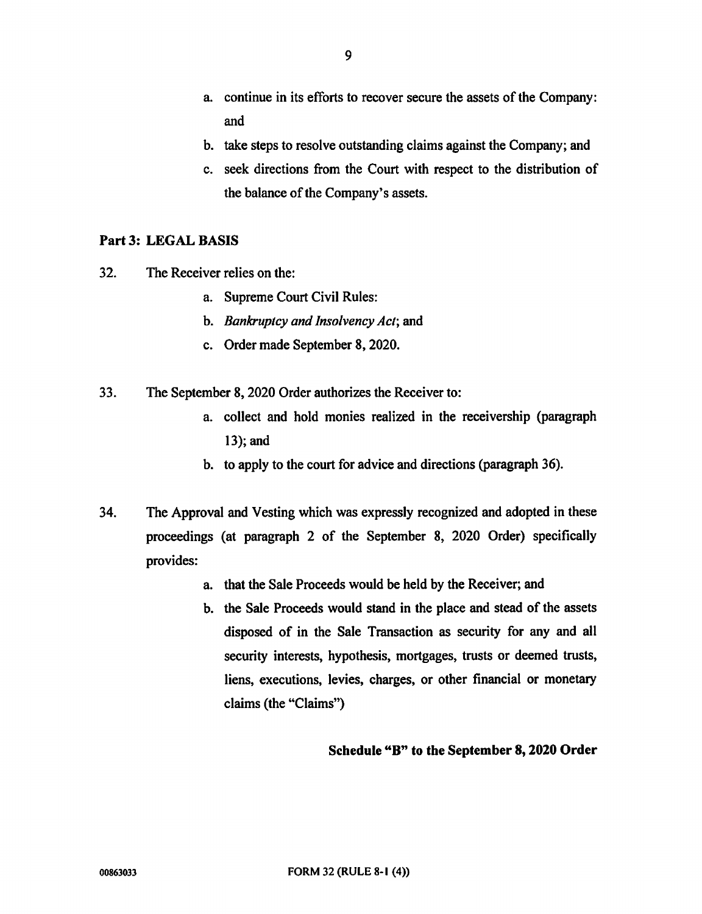- a. continue in its efforts to recover secure the assets of the Company: and
- b. take steps to resolve outstanding claims against the Company; and
- c. seek directions from the Court with respect to the distribution of the balance of the Company's assets.

# Part 3: LEGAL BASIS

- 32. The Receiver relies on the:
	- a. Supreme Court Civil Rules:
	- b. Bankruptcy and Insolvency Act; and
	- c. Order made September 8, 2020.
- 33. The September 8, 2020 Order authorizes the Receiver to:
	- a. collect and hold monies realized in the receivership (paragraph 13); and
	- b. to apply to the court for advice and directions (paragraph 36).
- 34. The Approval and Vesting which was expressly recognized and adopted in these proceedings (at paragraph 2 of the September 8, 2020 Order) specifically provides:
	- a. that the Sale Proceeds would be held by the Receiver; and
	- b. the Sale Proceeds would stand in the place and stead of the assets disposed of in the Sale Transaction as security for any and all security interests, hypothesis, mortgages, trusts or deemed trusts, liens, executions, levies, charges, or other financial or monetary claims (the "Claims")

# Schedule "B" to the September 8, 2020 Order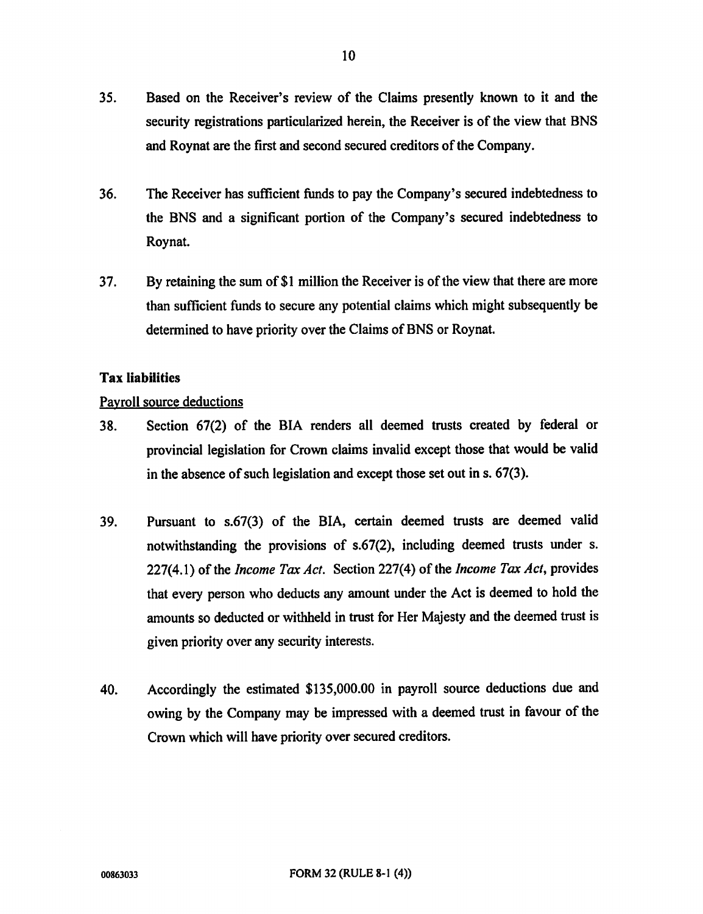- 35. Based on the Receiver's review of the Claims presently known to it and the security registrations particularized herein, the Receiver is of the view that BNS and Roynat are the first and second secured creditors of the Company.
- 36. The Receiver has sufficient funds to pay the Company's secured indebtedness to the BNS and a significant portion of the Company's secured indebtedness to Roynat.
- 37. By retaining the sum of \$1 million the Receiver is of the view that there are more than sufficient funds to secure any potential claims which might subsequently be determined to have priority over the Claims of BNS or Roynat.

## Tax liabilities

## Payroll source deductions

- 38. Section 67(2) of the BIA renders all deemed trusts created by federal or provincial legislation for Crown claims invalid except those that would be valid in the absence of such legislation and except those set out in s. 67(3).
- 39. Pursuant to s.67(3) of the BIA, certain deemed trusts are deemed valid notwithstanding the provisions of s.67(2), including deemed trusts under s. 227(4.1) of the *Income Tax Act.* Section 227(4) of the *Income Tax Act*, provides that every person who deducts any amount under the Act is deemed to hold the amounts so deducted or withheld in trust for Her Majesty and the deemed trust is given priority over any security interests.
- 40. Accordingly the estimated \$135,000.00 in payroll source deductions due and owing by the Company may be impressed with a deemed trust in favour of the Crown which will have priority over secured creditors.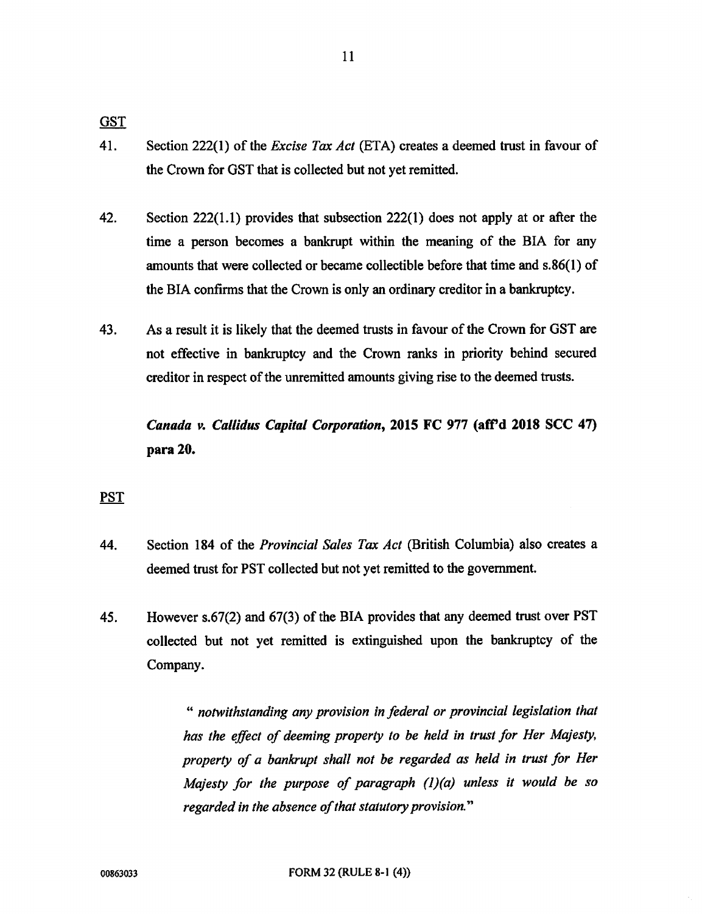11

**GST** 

- 41. Section 222(1) of the *Excise Tax Act* (ETA) creates a deemed trust in favour of the Crown for GST that is collected but not yet remitted.
- 42. Section 222(1.1) provides that subsection 222(1) does not apply at or after the time a person becomes a bankrupt within the meaning of the BIA for any amounts that were collected or became collectible before that time and s.86(1) of the BIA confirms that the Crown is only an ordinary creditor in a bankruptcy.
- 43. As a result it is likely that the deemed trusts in favour of the Crown for GST are not effective in bankruptcy and the Crown ranks in priority behind secured creditor in respect of the unremitted amounts giving rise to the deemed trusts.

Canada v. Callidus Capital Corporation, 2015 FC 977 (aff'd 2018 SCC 47) para 20.

# PST

- 44. Section 184 of the *Provincial Sales Tax Act* (British Columbia) also creates a deemed trust for PST collected but not yet remitted to the government.
- 45. However s.67(2) and 67(3) of the BIA provides that any deemed trust over PST collected but not yet remitted is extinguished upon the bankruptcy of the Company.

" notwithstanding any provision in federal or provincial legislation that has the effect of deeming property to be held in trust for Her Majesty, property of a bankrupt shall not be regarded as held in trust for Her Majesty for the purpose of paragraph  $(1)(a)$  unless it would be so regarded in the absence of that statutory provision."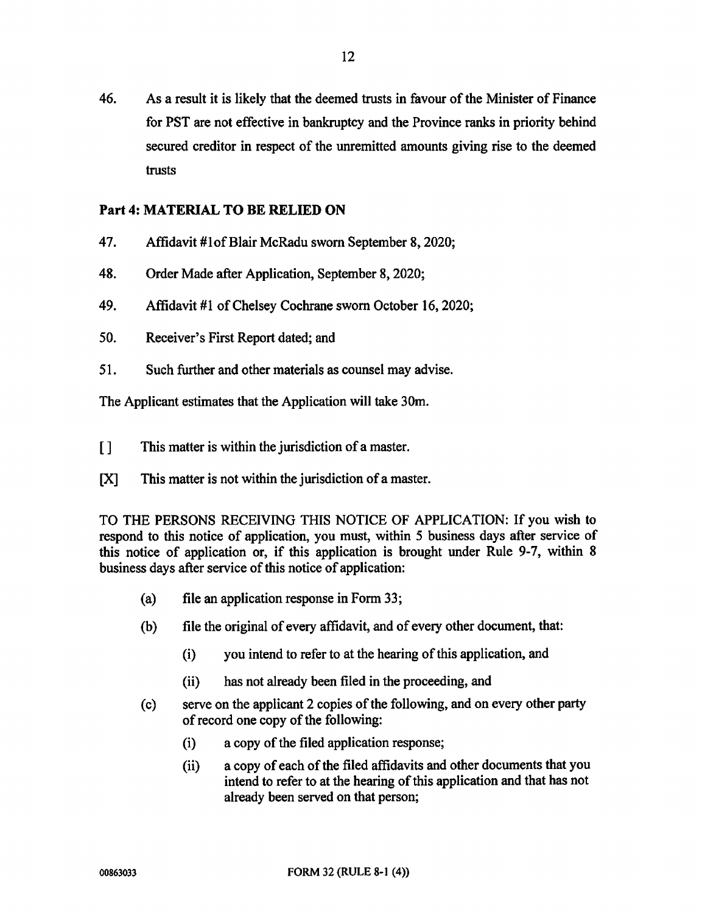46. As a result it is likely that the deemed trusts in favour of the Minister of Finance for PST are not effective in bankruptcy and the Province ranks in priority behind secured creditor in respect of the unremitted amounts giving rise to the deemed trusts

# Part 4: MATERIAL TO BE RELIED ON

- 47. Affidavit #1of Blair McRadu sworn September 8, 2020;
- 48. Order Made after Application, September 8, 2020;
- 49. Affidavit #1 of Chelsey Cochrane sworn October 16, 2020;
- 50. Receiver's First Report dated; and
- 51. Such further and other materials as counsel may advise.

The Applicant estimates that the Application will take 30m.

- [] This matter is within the jurisdiction of a master.
- [X] This matter is not within the jurisdiction of a master.

TO THE PERSONS RECEIVING THIS NOTICE OF APPLICATION: If you wish to respond to this notice of application, you must, within 5 business days after service of this notice of application or, if this application is brought under Rule 9-7, within 8 business days after service of this notice of application:

- (a) file an application response in Form 33;
- (b) file the original of every affidavit, and of every other document, that:
	- (i) you intend to refer to at the hearing of this application, and
	- (ii) has not already been filed in the proceeding, and
- (c) serve on the applicant 2 copies of the following, and on every other party of record one copy of the following:
	- (i) a copy of the filed application response;
	- (ii) a copy of each of the filed affidavits and other documents that you intend to refer to at the hearing of this application and that has not already been served on that person;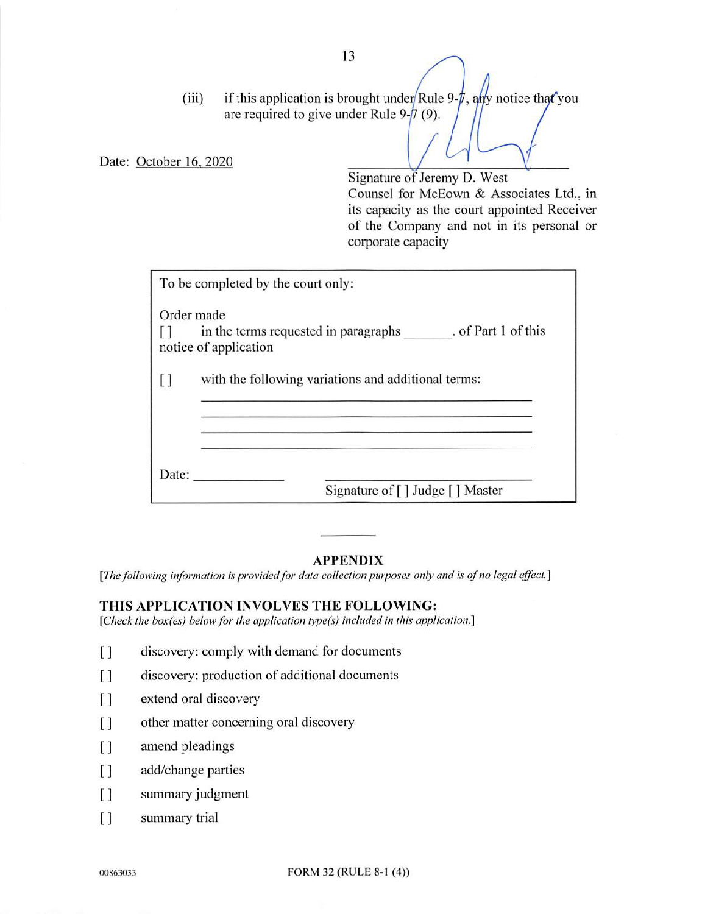(iii) if this application is brought under Rule 9- $\pi$ , any notice that you are required to give under Rule 9- $/7$  (9).

Date: October 16, 2020

Signature of Jeremy D. West Counsel for McEown & Associates Ltd., in its capacity as the court appointed Receiver of the Company and not in its personal or corporate capacity

|       | Order made                                                                        |
|-------|-----------------------------------------------------------------------------------|
|       | in the terms requested in paragraphs . of Part 1 of this<br>notice of application |
| [ ]   | with the following variations and additional terms:                               |
|       |                                                                                   |
| Date: |                                                                                   |
|       | Signature of [] Judge [] Master                                                   |

#### APPENDIX

[The following information is provided for data collection purposes only and is of no legal effect.]

# THIS APPLICATION INVOLVES THE FOLLOWING:

[Check the box(es) below for the application type(s) included in this application.]

- $\left[ \ \right]$ discovery: comply with demand for documents
- $\lceil$ discovery: production of additional documents
- $\lceil$ extend oral discovery
- $\begin{array}{c} \square \end{array}$ other matter concerning oral discovery
- $\begin{array}{c} \square \end{array}$ amend pleadings
- add/change parties  $\Box$
- $\Box$ summary judgment
- $\left[ \ \right]$ summary trial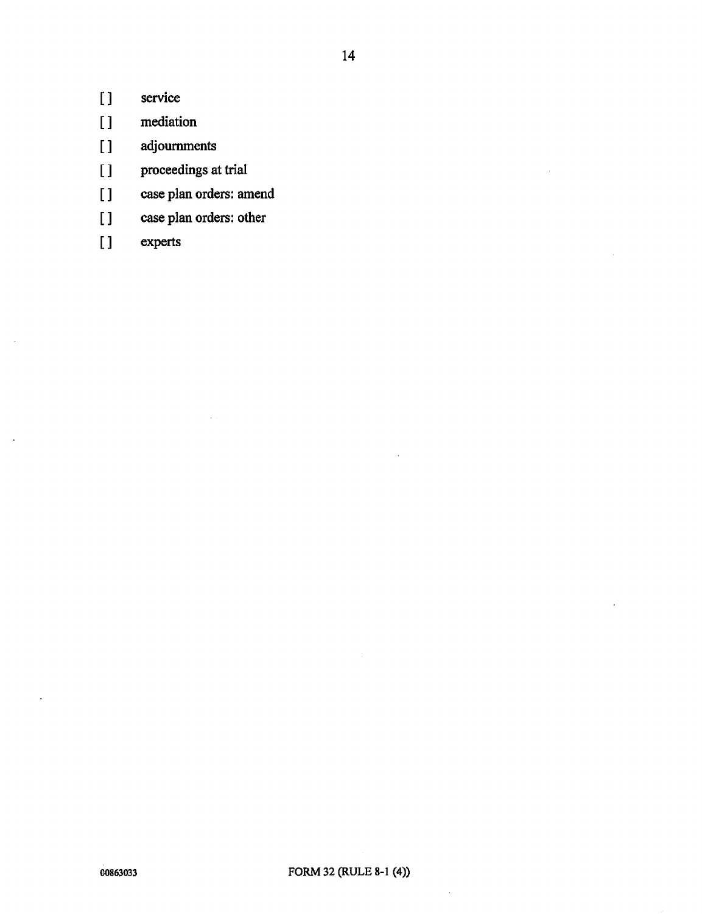- [ ] service
- [ ] mediation
- [] adjournments
- [ ] proceedings at trial
- [ ] case plan orders: amend
- [ ] case plan orders: other
- [ ] experts

l,

 $\bar{z}$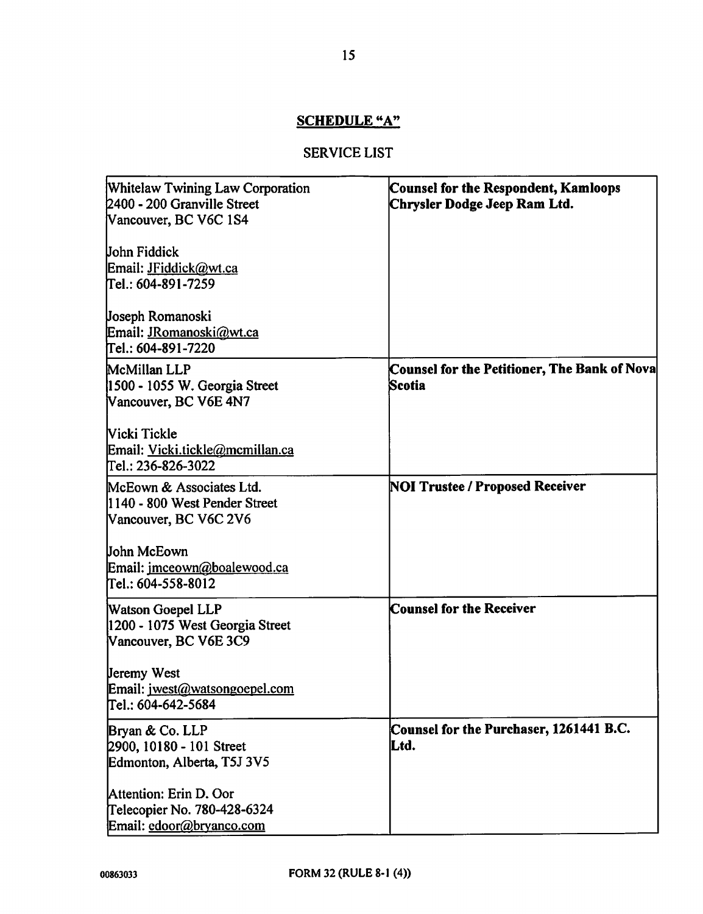# SCHEDULE "A"

# SERVICE LIST

| <b>Whitelaw Twining Law Corporation</b><br>2400 - 200 Granville Street<br>Vancouver, BC V6C 1S4 | <b>Counsel for the Respondent, Kamloops</b><br>Chrysler Dodge Jeep Ram Ltd. |
|-------------------------------------------------------------------------------------------------|-----------------------------------------------------------------------------|
| <b>John Fiddick</b><br>Email: JFiddick@wt.ca<br>Tel.: 604-891-7259                              |                                                                             |
| Joseph Romanoski<br>Email: JRomanoski@wt.ca<br>Tel.: 604-891-7220                               |                                                                             |
| McMillan LLP<br>1500 - 1055 W. Georgia Street<br>Vancouver, BC V6E 4N7                          | Counsel for the Petitioner, The Bank of Nova<br>Scotia                      |
| Vicki Tickle<br>Email: Vicki.tickle@mcmillan.ca<br>Tel.: 236-826-3022                           |                                                                             |
| McEown & Associates Ltd.<br>l1140 - 800 West Pender Street<br>Vancouver, BC V6C 2V6             | <b>NOI Trustee / Proposed Receiver</b>                                      |
| John McEown<br>Email: imceown@boalewood.ca<br>Tel.: 604-558-8012                                |                                                                             |
| <b>Watson Goepel LLP</b><br>1200 - 1075 West Georgia Street<br>Vancouver, BC V6E 3C9            | <b>Counsel for the Receiver</b>                                             |
| <b>Jeremy West</b><br>Email: jwest@watsongoepel.com<br>Пеі.: 604-642-5684                       |                                                                             |
| Bryan & Co. LLP<br>2900, 10180 - 101 Street<br>Edmonton, Alberta, T5J 3V5                       | Counsel for the Purchaser, 1261441 B.C.<br>Ltd.                             |
| Attention: Erin D. Oor<br>Telecopier No. 780-428-6324<br>Email: edoor@bryanco.com               |                                                                             |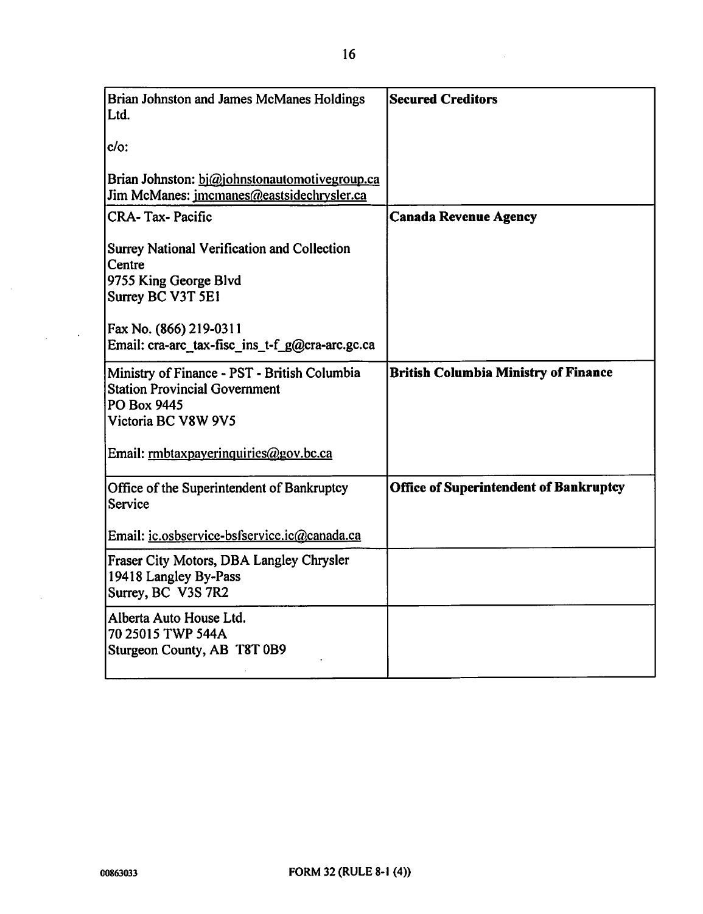| Brian Johnston and James McManes Holdings<br>Ltd.                                                                          | <b>Secured Creditors</b>                      |
|----------------------------------------------------------------------------------------------------------------------------|-----------------------------------------------|
| $c/o$ :                                                                                                                    |                                               |
| Brian Johnston: bi@johnstonautomotivegroup.ca<br>Jim McManes: jmcmanes@eastsidechrysler.ca                                 |                                               |
| <b>CRA-Tax-Pacific</b>                                                                                                     | <b>Canada Revenue Agency</b>                  |
| <b>Surrey National Verification and Collection</b><br>Centre<br>9755 King George Blvd<br>Surrey BC V3T 5E1                 |                                               |
| Fax No. (866) 219-0311<br>Email: cra-arc_tax-fisc_ins_t-f_g@cra-arc.gc.ca                                                  |                                               |
| Ministry of Finance - PST - British Columbia<br><b>Station Provincial Government</b><br>PO Box 9445<br>Victoria BC V8W 9V5 | <b>British Columbia Ministry of Finance</b>   |
| Email: rmbtaxpayerinquiries@gov.bc.ca                                                                                      |                                               |
| Office of the Superintendent of Bankruptcy<br>Service                                                                      | <b>Office of Superintendent of Bankruptcy</b> |
| Email: ic.osbservice-bsfservice.ic@canada.ca                                                                               |                                               |
| Fraser City Motors, DBA Langley Chrysler<br>19418 Langley By-Pass<br>Surrey, BC V3S 7R2                                    |                                               |
| Alberta Auto House Ltd.<br>70 25015 TWP 544A<br>Sturgeon County, AB T8T 0B9                                                |                                               |

 $\bar{z}$ 

 $\mathcal{L}_{\text{max}}$  ,  $\mathcal{L}_{\text{max}}$ 

 $\mathcal{L}$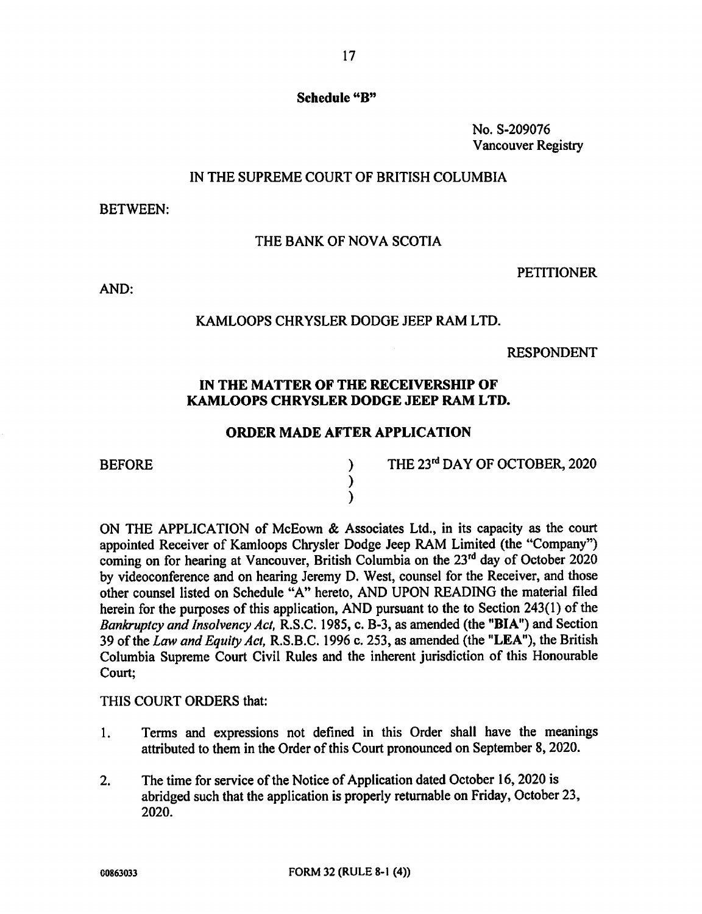## Schedule "B"

No. S-209076 Vancouver Registry

# IN THE SUPREME COURT OF BRITISH COLUMBIA

BETWEEN:

## THE BANK OF NOVA SCOTIA

PETITIONER

AND:

## KAMLOOPS CHRYSLER DODGE JEEP RAM LTD.

RESPONDENT

# IN THE MATTER OF THE RECEIVERSHIP OF KAMLOOPS CHRYSLER DODGE JEEP RAM LTD.

#### ORDER MADE AFTER APPLICATION

) )

BEFORE )

THE 23rd DAY OF OCTOBER, 2020

ON THE APPLICATION of McEown & Associates Ltd., in its capacity as the court appointed Receiver of Kamloops Chrysler Dodge Jeep RAM Limited (the "Company") coming on for hearing at Vancouver, British Columbia on the 23<sup>rd</sup> day of October 2020 by videoconference and on hearing Jeremy D. West, counsel for the Receiver, and those other counsel listed on Schedule "A" hereto, AND UPON READING the material filed herein for the purposes of this application, AND pursuant to the to Section 243(1) of the Bankruptcy and Insolvency Act, R.S.C. 1985, c. B-3, as amended (the "BIA") and Section 39 of the Law and Equity Act, R.S.B.C. 1996 c. 253, as amended (the "LEA"), the British Columbia Supreme Court Civil Rules and the inherent jurisdiction of this Honourable Court;

#### THIS COURT ORDERS that:

- 1. Terms and expressions not defined in this Order shall have the meanings attributed to them in the Order of this Court pronounced on September 8, 2020.
- 2. The time for service of the Notice of Application dated October 16, 2020 is abridged such that the application is properly returnable on Friday, October 23, 2020.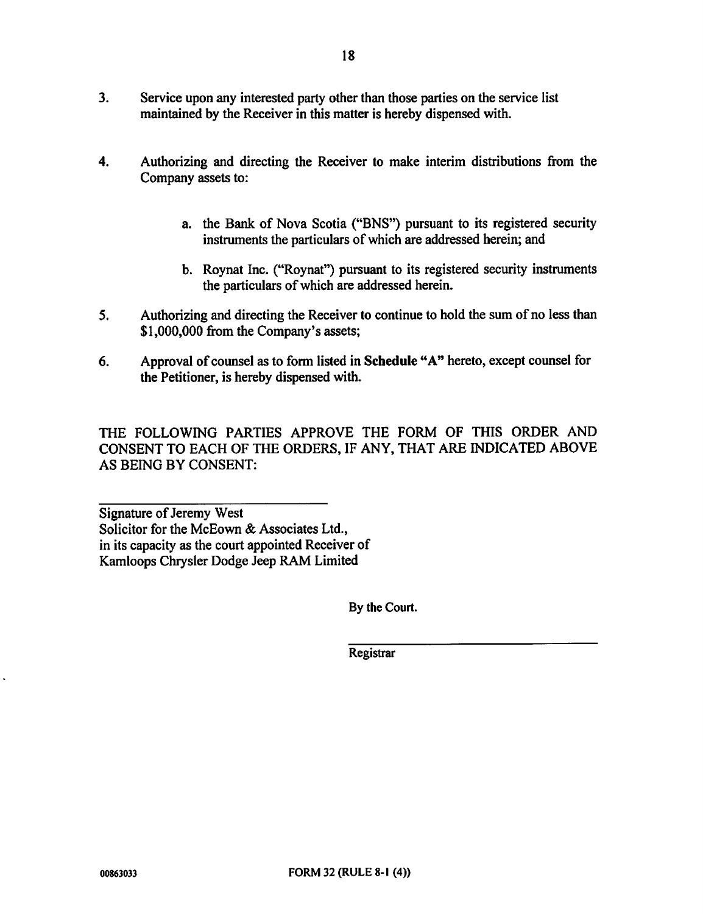- 4. Authorizing and directing the Receiver to make interim distributions from the Company assets to:
	- a. the Bank of Nova Scotia ("BNS") pursuant to its registered security instruments the particulars of which are addressed herein; and
	- b. Roynat Inc. ("Roynat") pursuant to its registered security instruments the particulars of which are addressed herein.
- 5. Authorizing and directing the Receiver to continue to hold the sum of no less than \$1,000,000 from the Company's assets;
- 6. Approval of counsel as to form listed in Schedule "A" hereto, except counsel for the Petitioner, is hereby dispensed with.

THE FOLLOWING PARTIES APPROVE THE FORM OF THIS ORDER AND CONSENT TO EACH OF THE ORDERS, IF ANY, THAT ARE INDICATED ABOVE AS BEING BY CONSENT:

Signature of Jeremy West Solicitor for the McEown & Associates Ltd., in its capacity as the court appointed Receiver of Kamloops Chrysler Dodge Jeep RAM Limited

By the Court.

**Registrar**